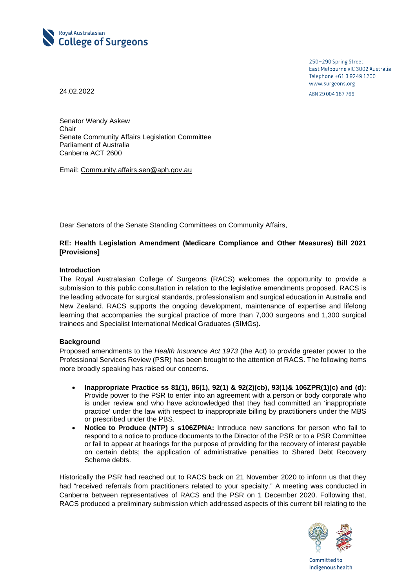

250-290 Spring Street East Melbourne VIC 3002 Australia Telephone +61 3 9249 1200 www.surgeons.org ABN 29 004 167 766

24.02.2022

Senator Wendy Askew **Chair** Senate Community Affairs Legislation Committee Parliament of Australia Canberra ACT 2600

Email: [Community.affairs.sen@aph.gov.au](mailto:Community.affairs.sen@aph.gov.au)

Dear Senators of the Senate Standing Committees on Community Affairs,

# **RE: Health Legislation Amendment (Medicare Compliance and Other Measures) Bill 2021 [Provisions]**

## **Introduction**

The Royal Australasian College of Surgeons (RACS) welcomes the opportunity to provide a submission to this public consultation in relation to the legislative amendments proposed. RACS is the leading advocate for surgical standards, professionalism and surgical education in Australia and New Zealand. RACS supports the ongoing development, maintenance of expertise and lifelong learning that accompanies the surgical practice of more than 7,000 surgeons and 1,300 surgical trainees and Specialist International Medical Graduates (SIMGs).

## **Background**

Proposed amendments to the *Health Insurance Act 1973* (the Act) to provide greater power to the Professional Services Review (PSR) has been brought to the attention of RACS. The following items more broadly speaking has raised our concerns.

- **Inappropriate Practice ss 81(1), 86(1), 92(1) & 92(2)(cb), 93(1)& 106ZPR(1)(c) and (d):** Provide power to the PSR to enter into an agreement with a person or body corporate who is under review and who have acknowledged that they had committed an 'inappropriate practice' under the law with respect to inappropriate billing by practitioners under the MBS or prescribed under the PBS.
- **Notice to Produce (NTP) s s106ZPNA:** Introduce new sanctions for person who fail to respond to a notice to produce documents to the Director of the PSR or to a PSR Committee or fail to appear at hearings for the purpose of providing for the recovery of interest payable on certain debts; the application of administrative penalties to Shared Debt Recovery Scheme debts.

Historically the PSR had reached out to RACS back on 21 November 2020 to inform us that they had "received referrals from practitioners related to your specialty." A meeting was conducted in Canberra between representatives of RACS and the PSR on 1 December 2020. Following that, RACS produced a preliminary submission which addressed aspects of this current bill relating to the



Committed to Indigenous health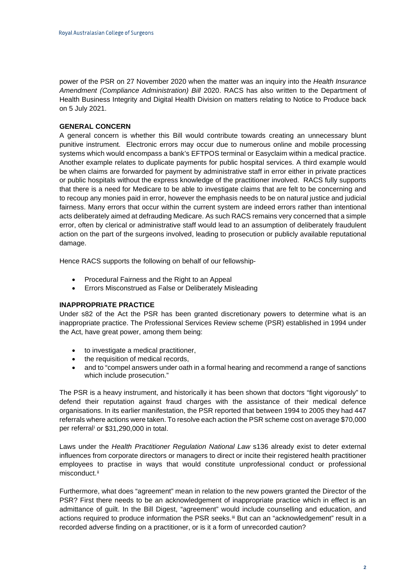power of the PSR on 27 November 2020 when the matter was an inquiry into the *Health Insurance Amendment (Compliance Administration) Bill* 2020. RACS has also written to the Department of Health Business Integrity and Digital Health Division on matters relating to Notice to Produce back on 5 July 2021.

### **GENERAL CONCERN**

A general concern is whether this Bill would contribute towards creating an unnecessary blunt punitive instrument. Electronic errors may occur due to numerous online and mobile processing systems which would encompass a bank's EFTPOS terminal or Easyclaim within a medical practice. Another example relates to duplicate payments for public hospital services. A third example would be when claims are forwarded for payment by administrative staff in error either in private practices or public hospitals without the express knowledge of the practitioner involved. RACS fully supports that there is a need for Medicare to be able to investigate claims that are felt to be concerning and to recoup any monies paid in error, however the emphasis needs to be on natural justice and judicial fairness. Many errors that occur within the current system are indeed errors rather than intentional acts deliberately aimed at defrauding Medicare. As such RACS remains very concerned that a simple error, often by clerical or administrative staff would lead to an assumption of deliberately fraudulent action on the part of the surgeons involved, leading to prosecution or publicly available reputational damage.

Hence RACS supports the following on behalf of our fellowship-

- Procedural Fairness and the Right to an Appeal
- Errors Misconstrued as False or Deliberately Misleading

### **INAPPROPRIATE PRACTICE**

Under s82 of the Act the PSR has been granted discretionary powers to determine what is an inappropriate practice. The Professional Services Review scheme (PSR) established in 1994 under the Act, have great power, among them being:

- to investigate a medical practitioner,
- the requisition of medical records,
- and to "compel answers under oath in a formal hearing and recommend a range of sanctions which include prosecution."

The PSR is a heavy instrument, and historically it has been shown that doctors "fight vigorously" to defend their reputation against fraud charges with the assistance of their medical defence organisations. In its earlier manifestation, the PSR reported that between 1994 to 2005 they had 447 referrals where actions were taken. To resolve each action the PSR scheme cost on average \$70,000 per referral[i](#page-3-0) or \$31,290,000 in total.

Laws under the *Health Practitioner Regulation National Law* s136 already exist to deter external influences from corporate directors or managers to direct or incite their registered health practitioner employees to practise in ways that would constitute unprofessional conduct or professional misconduct.<sup>[ii](#page-3-1)</sup>

Furthermore, what does "agreement" mean in relation to the new powers granted the Director of the PSR? First there needs to be an acknowledgement of inappropriate practice which in effect is an admittance of guilt. In the Bill Digest, "agreement" would include counselling and education, and actions required to produce information the PSR seeks.<sup>[iii](#page-3-2)</sup> But can an "acknowledgement" result in a recorded adverse finding on a practitioner, or is it a form of unrecorded caution?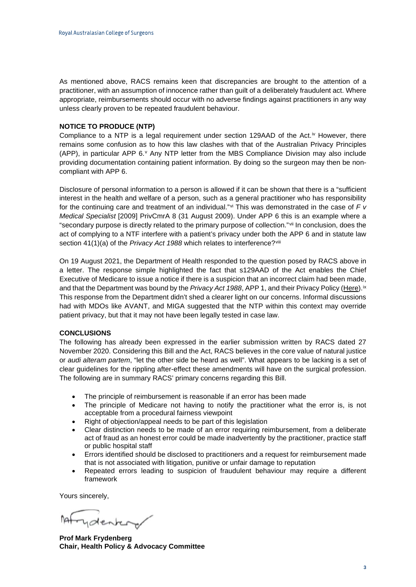As mentioned above, RACS remains keen that discrepancies are brought to the attention of a practitioner, with an assumption of innocence rather than guilt of a deliberately fraudulent act. Where appropriate, reimbursements should occur with no adverse findings against practitioners in any way unless clearly proven to be repeated fraudulent behaviour.

#### **NOTICE TO PRODUCE (NTP)**

Compliance to a NTP is a legal requirement under section 129AAD of the Act.<sup>[iv](#page-3-3)</sup> However, there remains some confusion as to how this law clashes with that of the Australian Privacy Principles (APP), in particular APP  $6.4$  Any NTP letter from the MBS Compliance Di[v](#page-3-4)ision may also include providing documentation containing patient information. By doing so the surgeon may then be noncompliant with APP 6.

Disclosure of personal information to a person is allowed if it can be shown that there is a "sufficient interest in the health and welfare of a person, such as a general practitioner who has responsibility for the continuing care and treatment of an individual."[vi](#page-3-5) This was demonstrated in the case of *F v Medical Specialist* [2009] PrivCmrA 8 (31 August 2009). Under APP 6 this is an example where a "secondary purpose is directly related to the primary purpose of collection."[vii](#page-3-6) In conclusion, does the act of complying to a NTF interfere with a patient's privacy under both the APP 6 and in statute law section 41(1)(a) of the *Privacy Act 1988* which relates to interference?<sup>[viii](#page-3-7)</sup>

On 19 August 2021, the Department of Health responded to the question posed by RACS above in a letter. The response simple highlighted the fact that s129AAD of the Act enables the Chief Executive of Medicare to issue a notice if there is a suspicion that an incorrect claim had been made, and that the Department was bound by the *Privacy Act 1988*, APP 1, and their Privacy Policy [\(Here\)](https://www.health.gov.au/sites/default/files/documents/2021/04/privacy-policy-privacy-policy.pdf).<sup>[ix](#page-3-8)</sup> This response from the Department didn't shed a clearer light on our concerns. Informal discussions had with MDOs like AVANT, and MIGA suggested that the NTP within this context may override patient privacy, but that it may not have been legally tested in case law.

## **CONCLUSIONS**

The following has already been expressed in the earlier submission written by RACS dated 27 November 2020. Considering this Bill and the Act, RACS believes in the core value of natural justice or *audi alteram partem*, "let the other side be heard as well". What appears to be lacking is a set of clear guidelines for the rippling after-effect these amendments will have on the surgical profession. The following are in summary RACS' primary concerns regarding this Bill.

- The principle of reimbursement is reasonable if an error has been made
- The principle of Medicare not having to notify the practitioner what the error is, is not acceptable from a procedural fairness viewpoint
- Right of objection/appeal needs to be part of this legislation
- Clear distinction needs to be made of an error requiring reimbursement, from a deliberate act of fraud as an honest error could be made inadvertently by the practitioner, practice staff or public hospital staff
- Errors identified should be disclosed to practitioners and a request for reimbursement made that is not associated with litigation, punitive or unfair damage to reputation
- Repeated errors leading to suspicion of fraudulent behaviour may require a different framework

Yours sincerely,

Tydentery

**Prof Mark Frydenberg Chair, Health Policy & Advocacy Committee**